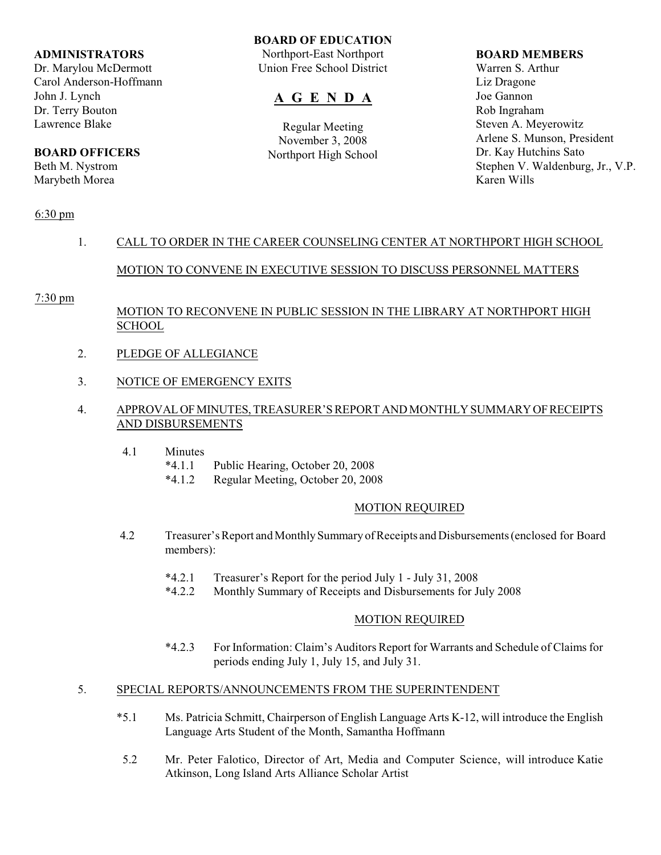### **ADMINISTRATORS**

Dr. Marylou McDermott Carol Anderson-Hoffmann John J. Lynch Dr. Terry Bouton Lawrence Blake

# **BOARD OFFICERS**

Beth M. Nystrom Marybeth Morea

# **BOARD OF EDUCATION**

Northport-East Northport Union Free School District

# **A G E N D A**

Regular Meeting November 3, 2008 Northport High School

### **BOARD MEMBERS**

Warren S. Arthur Liz Dragone Joe Gannon Rob Ingraham Steven A. Meyerowitz Arlene S. Munson, President Dr. Kay Hutchins Sato Stephen V. Waldenburg, Jr., V.P. Karen Wills

# 6:30 pm

# 1. CALL TO ORDER IN THE CAREER COUNSELING CENTER AT NORTHPORT HIGH SCHOOL

# MOTION TO CONVENE IN EXECUTIVE SESSION TO DISCUSS PERSONNEL MATTERS

# 7:30 pm

# MOTION TO RECONVENE IN PUBLIC SESSION IN THE LIBRARY AT NORTHPORT HIGH **SCHOOL**

- 2. PLEDGE OF ALLEGIANCE
- 3. NOTICE OF EMERGENCY EXITS

# 4. APPROVAL OF MINUTES, TREASURER'S REPORT AND MONTHLY SUMMARY OF RECEIPTS AND DISBURSEMENTS

- 4.1 Minutes
	- \*4.1.1 Public Hearing, October 20, 2008
	- \*4.1.2 Regular Meeting, October 20, 2008

# MOTION REQUIRED

- 4.2 Treasurer's Report and Monthly Summary of Receipts and Disbursements (enclosed for Board members):
	- \*4.2.1 Treasurer's Report for the period July 1 July 31, 2008
	- \*4.2.2 Monthly Summary of Receipts and Disbursements for July 2008

# MOTION REQUIRED

\*4.2.3 For Information: Claim's Auditors Report for Warrants and Schedule of Claims for periods ending July 1, July 15, and July 31.

# 5. SPECIAL REPORTS/ANNOUNCEMENTS FROM THE SUPERINTENDENT

- \*5.1 Ms. Patricia Schmitt, Chairperson of English Language Arts K-12, will introduce the English Language Arts Student of the Month, Samantha Hoffmann
- 5.2 Mr. Peter Falotico, Director of Art, Media and Computer Science, will introduce Katie Atkinson, Long Island Arts Alliance Scholar Artist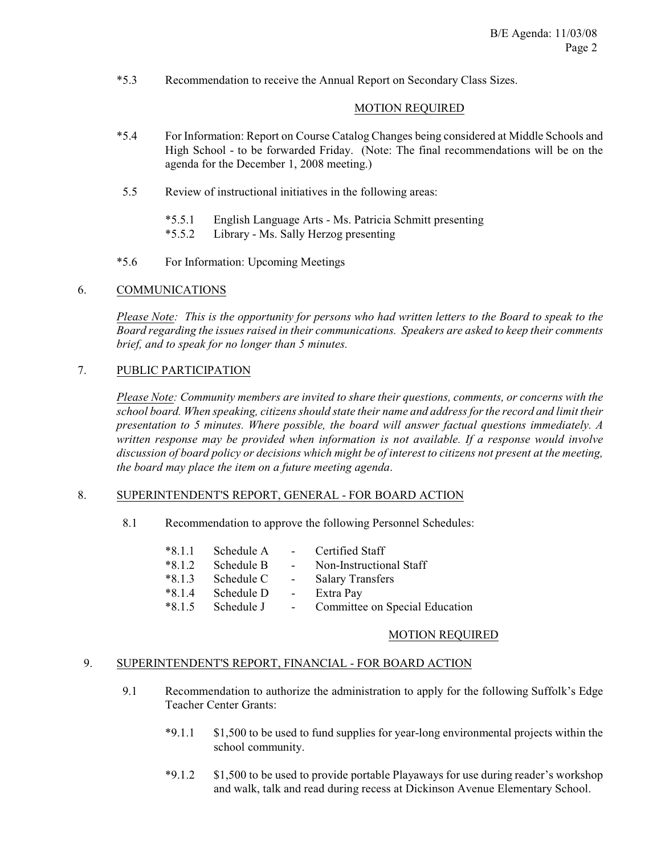\*5.3 Recommendation to receive the Annual Report on Secondary Class Sizes.

### MOTION REQUIRED

- \*5.4 For Information: Report on Course Catalog Changes being considered at Middle Schools and High School - to be forwarded Friday. (Note: The final recommendations will be on the agenda for the December 1, 2008 meeting.)
- 5.5 Review of instructional initiatives in the following areas:
	- \*5.5.1 English Language Arts Ms. Patricia Schmitt presenting
	- \*5.5.2 Library Ms. Sally Herzog presenting
- \*5.6 For Information: Upcoming Meetings

### 6. COMMUNICATIONS

*Please Note: This is the opportunity for persons who had written letters to the Board to speak to the Board regarding the issues raised in their communications. Speakers are asked to keep their comments brief, and to speak for no longer than 5 minutes.*

### 7. PUBLIC PARTICIPATION

*Please Note: Community members are invited to share their questions, comments, or concerns with the school board. When speaking, citizens should state their name and address for the record and limit their presentation to 5 minutes. Where possible, the board will answer factual questions immediately. A written response may be provided when information is not available. If a response would involve discussion of board policy or decisions which might be of interest to citizens not present at the meeting, the board may place the item on a future meeting agenda*.

### 8. SUPERINTENDENT'S REPORT, GENERAL - FOR BOARD ACTION

8.1 Recommendation to approve the following Personnel Schedules:

| $*8.1.1$ | Schedule A   | $\sim 100$        | Certified Staff                |
|----------|--------------|-------------------|--------------------------------|
| $*8.1.2$ | Schedule B   | $\sim 100$        | Non-Instructional Staff        |
| $*8.1.3$ | - Schedule C | $\sim$ $-$        | <b>Salary Transfers</b>        |
| $*8.1.4$ | Schedule D   | <b>Contractor</b> | Extra Pay                      |
| $*8.1.5$ | Schedule J   | $\sim$ $-$        | Committee on Special Education |

### MOTION REQUIRED

### 9. SUPERINTENDENT'S REPORT, FINANCIAL - FOR BOARD ACTION

- 9.1 Recommendation to authorize the administration to apply for the following Suffolk's Edge Teacher Center Grants:
	- \*9.1.1 \$1,500 to be used to fund supplies for year-long environmental projects within the school community.
	- \*9.1.2 \$1,500 to be used to provide portable Playaways for use during reader's workshop and walk, talk and read during recess at Dickinson Avenue Elementary School.